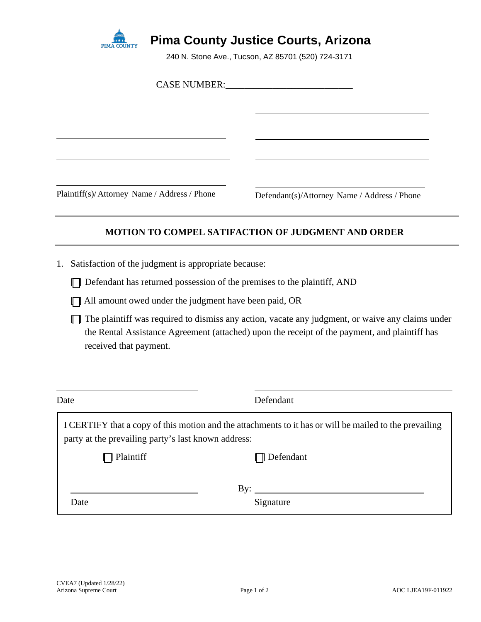

## **Pima County Justice Courts, Arizona**

240 N. Stone Ave., Tucson, AZ 85701 (520) 724-3171

|                                                                         | CASE NUMBER: University of the Second Second Second Second Second Second Second Second Second Second Second Second Second Second Second Second Second Second Second Second Second Second Second Second Second Second Second Se |  |
|-------------------------------------------------------------------------|--------------------------------------------------------------------------------------------------------------------------------------------------------------------------------------------------------------------------------|--|
|                                                                         |                                                                                                                                                                                                                                |  |
| Plaintiff(s)/Attorney Name / Address / Phone                            | Defendant(s)/Attorney Name / Address / Phone                                                                                                                                                                                   |  |
|                                                                         | <b>MOTION TO COMPEL SATIFACTION OF JUDGMENT AND ORDER</b>                                                                                                                                                                      |  |
| Satisfaction of the judgment is appropriate because:<br>1.              |                                                                                                                                                                                                                                |  |
| Defendant has returned possession of the premises to the plaintiff, AND |                                                                                                                                                                                                                                |  |
| All amount owed under the judgment have been paid, OR                   |                                                                                                                                                                                                                                |  |
| received that payment.                                                  | The plaintiff was required to dismiss any action, vacate any judgment, or waive any claims under<br>the Rental Assistance Agreement (attached) upon the receipt of the payment, and plaintiff has                              |  |
| Date                                                                    | Defendant                                                                                                                                                                                                                      |  |

I CERTIFY that a copy of this motion and the attachments to it has or will be mailed to the prevailing party at the prevailing party's last known address: **T** Plaintiff **I** Defendant

By:  $\_\_$ 

Date Signature